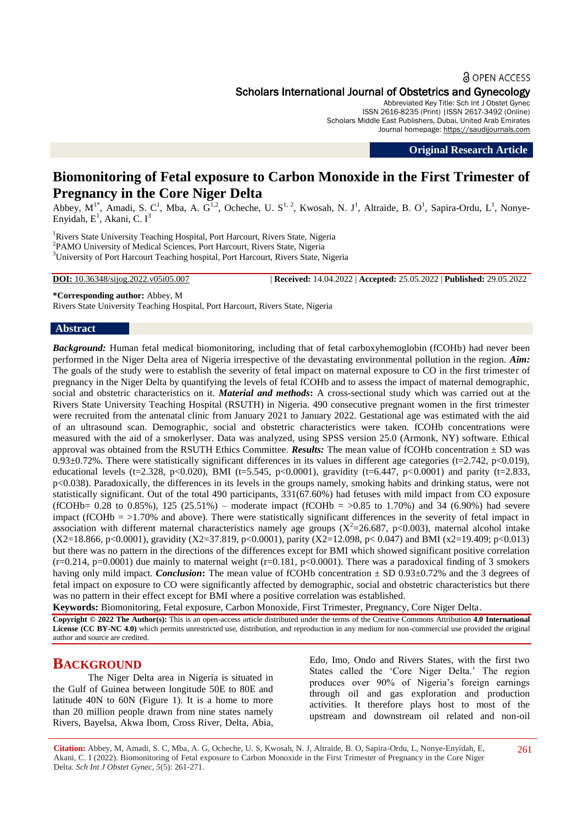### **a** OPEN ACCESS

# Scholars International Journal of Obstetrics and Gynecology

Abbreviated Key Title: Sch Int J Obstet Gynec ISSN 2616-8235 (Print) |ISSN 2617-3492 (Online) Scholars Middle East Publishers, Dubai, United Arab Emirates Journal homepage: [https://saudijournals.com](https://saudijournals.com/sijog)

**Original Research Article**

# **Biomonitoring of Fetal exposure to Carbon Monoxide in the First Trimester of Pregnancy in the Core Niger Delta**

Abbey, M<sup>1\*</sup>, Amadi, S. C<sup>1</sup>, Mba, A. G<sup>1,2</sup>, Ocheche, U. S<sup>1, 2</sup>, Kwosah, N. J<sup>1</sup>, Altraide, B. O<sup>1</sup>, Sapira-Ordu, L<sup>1</sup>, Nonye-Enyidah,  $E^1$ , Akani, C. I<sup>3</sup>

<sup>1</sup>Rivers State University Teaching Hospital, Port Harcourt, Rivers State, Nigeria <sup>2</sup>PAMO University of Medical Sciences, Port Harcourt, Rivers State, Nigeria <sup>3</sup>University of Port Harcourt Teaching hospital, Port Harcourt, Rivers State, Nigeria

**DOI:** 10.36348/sijog.2022.v05i05.007 | **Received:** 14.04.2022 | **Accepted:** 25.05.2022 | **Published:** 29.05.2022

**\*Corresponding author:** Abbey, M

### Rivers State University Teaching Hospital, Port Harcourt, Rivers State, Nigeria

#### **Abstract**

*Background:* Human fetal medical biomonitoring, including that of fetal carboxyhemoglobin (fCOHb) had never been performed in the Niger Delta area of Nigeria irrespective of the devastating environmental pollution in the region. *Aim:* The goals of the study were to establish the severity of fetal impact on maternal exposure to CO in the first trimester of pregnancy in the Niger Delta by quantifying the levels of fetal fCOHb and to assess the impact of maternal demographic, social and obstetric characteristics on it. *Material and methods***:** A cross-sectional study which was carried out at the Rivers State University Teaching Hospital (RSUTH) in Nigeria. 490 consecutive pregnant women in the first trimester were recruited from the antenatal clinic from January 2021 to January 2022. Gestational age was estimated with the aid of an ultrasound scan. Demographic, social and obstetric characteristics were taken. fCOHb concentrations were measured with the aid of a smokerlyser. Data was analyzed, using SPSS version 25.0 (Armonk, NY) software. Ethical approval was obtained from the RSUTH Ethics Committee. *Results:* The mean value of fCOHb concentration ± SD was 0.93 $\pm$ 0.72%. There were statistically significant differences in its values in different age categories (t=2.742, p<0.019), educational levels (t=2.328, p<0.020), BMI (t=5.545, p<0.0001), gravidity (t=6.447, p<0.0001) and parity (t=2.833, p<0.038). Paradoxically, the differences in its levels in the groups namely, smoking habits and drinking status, were not statistically significant. Out of the total 490 participants, 331(67.60%) had fetuses with mild impact from CO exposure (fCOHb= 0.28 to 0.85%), 125 (25.51%) – moderate impact (fCOHb =  $>0.85$  to 1.70%) and 34 (6.90%) had severe impact (fCOHb  $=$  >1.70% and above). There were statistically significant differences in the severity of fetal impact in association with different maternal characteristics namely age groups ( $X^2$ =26.687, p<0.003), maternal alcohol intake (X2=18.866, p<0.0001), gravidity (X2=37.819, p<0.0001), parity (X2=12.098, p< 0.047) and BMI (x2=19.409; p<0.013) but there was no pattern in the directions of the differences except for BMI which showed significant positive correlation  $(r=0.214, p=0.0001)$  due mainly to maternal weight  $(r=0.181, p<0.0001)$ . There was a paradoxical finding of 3 smokers having only mild impact. *Conclusion*: The mean value of fCOHb concentration  $\pm$  SD 0.93 $\pm$ 0.72% and the 3 degrees of fetal impact on exposure to CO were significantly affected by demographic, social and obstetric characteristics but there was no pattern in their effect except for BMI where a positive correlation was established.

**Keywords:** Biomonitoring, Fetal exposure, Carbon Monoxide, First Trimester, Pregnancy, Core Niger Delta.

**Copyright © 2022 The Author(s):** This is an open-access article distributed under the terms of the Creative Commons Attribution **4.0 International License (CC BY-NC 4.0)** which permits unrestricted use, distribution, and reproduction in any medium for non-commercial use provided the original author and source are credited.

# **BACKGROUND**

The Niger Delta area in Nigeria is situated in the Gulf of Guinea between longitude 50E to 80E and latitude 40N to 60N (Figure 1). It is a home to more than 20 million people drawn from nine states namely Rivers, Bayelsa, Akwa Ibom, Cross River, Delta, Abia, Edo, Imo, Ondo and Rivers States, with the first two States called the 'Core Niger Delta.' The region produces over 90% of Nigeria's foreign earnings through oil and gas exploration and production activities. It therefore plays host to most of the upstream and downstream oil related and non-oil

**Citation:** Abbey, M, Amadi, S. C, Mba, A. G, Ocheche, U. S, Kwosah, N. J, Altraide, B. O, Sapira-Ordu, L, Nonye-Enyidah, E, Akani, C. I (2022). Biomonitoring of Fetal exposure to Carbon Monoxide in the First Trimester of Pregnancy in the Core Niger Delta. *Sch Int J Obstet Gynec, 5*(5): 261-271.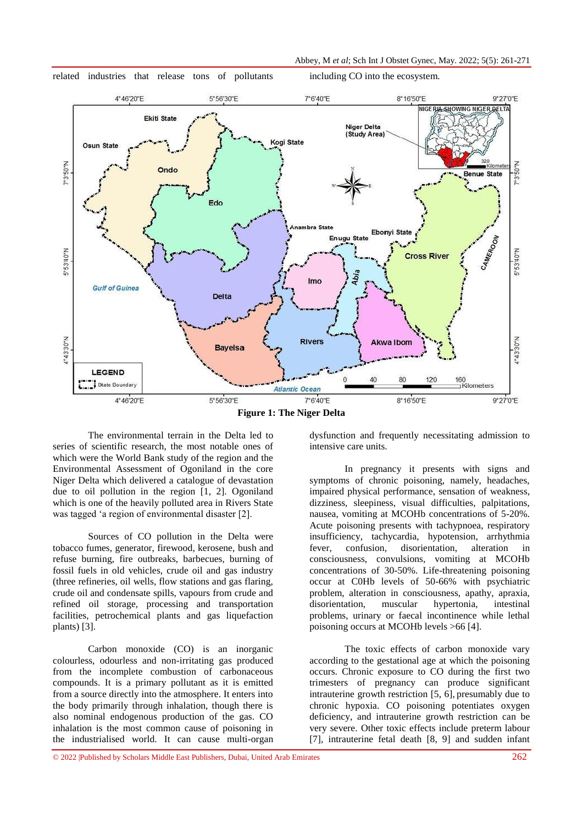



related industries that release tons of pollutants including CO into the ecosystem.

The environmental terrain in the Delta led to series of scientific research, the most notable ones of which were the World Bank study of the region and the Environmental Assessment of Ogoniland in the core Niger Delta which delivered a catalogue of devastation due to oil pollution in the region [1, 2]. Ogoniland which is one of the heavily polluted area in Rivers State was tagged 'a region of environmental disaster [2].

Sources of CO pollution in the Delta were tobacco fumes, generator, firewood, kerosene, bush and refuse burning, fire outbreaks, barbecues, burning of fossil fuels in old vehicles, crude oil and gas industry (three refineries, oil wells, flow stations and gas flaring, crude oil and condensate spills, vapours from crude and refined oil storage, processing and transportation facilities, petrochemical plants and gas liquefaction plants) [3].

Carbon monoxide (CO) is an inorganic colourless, odourless and non-irritating gas produced from the incomplete combustion of carbonaceous compounds. It is a primary pollutant as it is emitted from a source directly into the atmosphere. It enters into the body primarily through inhalation, though there is also nominal endogenous production of the gas. CO inhalation is the most common cause of poisoning in the industrialised world. It can cause multi-organ

dysfunction and frequently necessitating admission to intensive care units.

In pregnancy it presents with signs and symptoms of chronic poisoning, namely, headaches, impaired physical performance, sensation of weakness, dizziness, sleepiness, visual difficulties, palpitations, nausea, vomiting at MCOHb concentrations of 5-20%. Acute poisoning presents with tachypnoea, respiratory insufficiency, tachycardia, hypotension, arrhythmia fever, confusion, disorientation, alteration in consciousness, convulsions, vomiting at MCOHb concentrations of 30-50%. Life-threatening poisoning occur at C0Hb levels of 50-66% with psychiatric problem, alteration in consciousness, apathy, apraxia, disorientation, muscular hypertonia, intestinal problems, urinary or faecal incontinence while lethal poisoning occurs at MCOHb levels >66 [4].

The toxic effects of carbon monoxide vary according to the gestational age at which the poisoning occurs. Chronic exposure to CO during the first two trimesters of pregnancy can produce significant intrauterine growth restriction [5, 6], presumably due to chronic hypoxia. CO poisoning potentiates oxygen deficiency, and intrauterine growth restriction can be very severe. Other toxic effects include preterm labour [7], intrauterine fetal death [8, 9] and sudden infant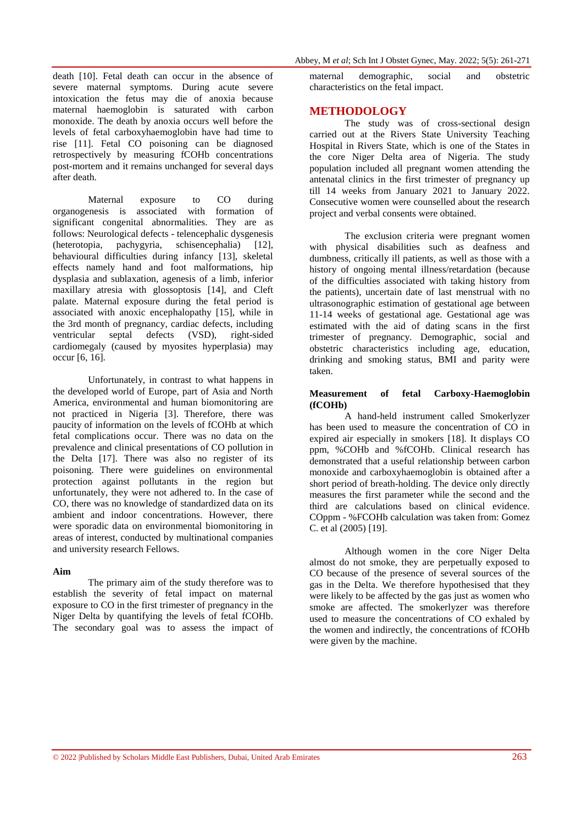death [10]. Fetal death can occur in the absence of severe maternal symptoms. During acute severe intoxication the fetus may die of anoxia because maternal haemoglobin is saturated with carbon monoxide. The death by anoxia occurs well before the levels of fetal carboxyhaemoglobin have had time to rise [11]. Fetal CO poisoning can be diagnosed retrospectively by measuring fCOHb concentrations post-mortem and it remains unchanged for several days after death.

Maternal exposure to CO during organogenesis is associated with formation of significant congenital abnormalities. They are as follows: Neurological defects - telencephalic dysgenesis (heterotopia, pachygyria, schisencephalia) [12], behavioural difficulties during infancy [13], skeletal effects namely hand and foot malformations, hip dysplasia and sublaxation, agenesis of a limb, inferior maxillary atresia with glossoptosis [14], and Cleft palate. Maternal exposure during the fetal period is associated with anoxic encephalopathy [15], while in the 3rd month of pregnancy, cardiac defects, including ventricular septal defects (VSD), right-sided cardiomegaly (caused by myosites hyperplasia) may occur [6, 16].

Unfortunately, in contrast to what happens in the developed world of Europe, part of Asia and North America, environmental and human biomonitoring are not practiced in Nigeria [3]. Therefore, there was paucity of information on the levels of fCOHb at which fetal complications occur. There was no data on the prevalence and clinical presentations of CO pollution in the Delta [17]. There was also no register of its poisoning. There were guidelines on environmental protection against pollutants in the region but unfortunately, they were not adhered to. In the case of CO, there was no knowledge of standardized data on its ambient and indoor concentrations. However, there were sporadic data on environmental biomonitoring in areas of interest, conducted by multinational companies and university research Fellows.

#### **Aim**

The primary aim of the study therefore was to establish the severity of fetal impact on maternal exposure to CO in the first trimester of pregnancy in the Niger Delta by quantifying the levels of fetal fCOHb. The secondary goal was to assess the impact of maternal demographic, social and obstetric characteristics on the fetal impact.

## **METHODOLOGY**

The study was of cross-sectional design carried out at the Rivers State University Teaching Hospital in Rivers State, which is one of the States in the core Niger Delta area of Nigeria. The study population included all pregnant women attending the antenatal clinics in the first trimester of pregnancy up till 14 weeks from January 2021 to January 2022. Consecutive women were counselled about the research project and verbal consents were obtained.

The exclusion criteria were pregnant women with physical disabilities such as deafness and dumbness, critically ill patients, as well as those with a history of ongoing mental illness/retardation (because of the difficulties associated with taking history from the patients), uncertain date of last menstrual with no ultrasonographic estimation of gestational age between 11-14 weeks of gestational age. Gestational age was estimated with the aid of dating scans in the first trimester of pregnancy. Demographic, social and obstetric characteristics including age, education, drinking and smoking status, BMI and parity were taken.

### **Measurement of fetal Carboxy-Haemoglobin (fCOHb)**

A hand-held instrument called Smokerlyzer has been used to measure the concentration of CO in expired air especially in smokers [18]. It displays CO ppm, %COHb and %fCOHb. Clinical research has demonstrated that a useful relationship between carbon monoxide and carboxyhaemoglobin is obtained after a short period of breath-holding. The device only directly measures the first parameter while the second and the third are calculations based on clinical evidence. COppm - %FCOHb calculation was taken from: Gomez C. et al (2005) [19].

Although women in the core Niger Delta almost do not smoke, they are perpetually exposed to CO because of the presence of several sources of the gas in the Delta. We therefore hypothesised that they were likely to be affected by the gas just as women who smoke are affected. The smokerlyzer was therefore used to measure the concentrations of CO exhaled by the women and indirectly, the concentrations of fCOHb were given by the machine.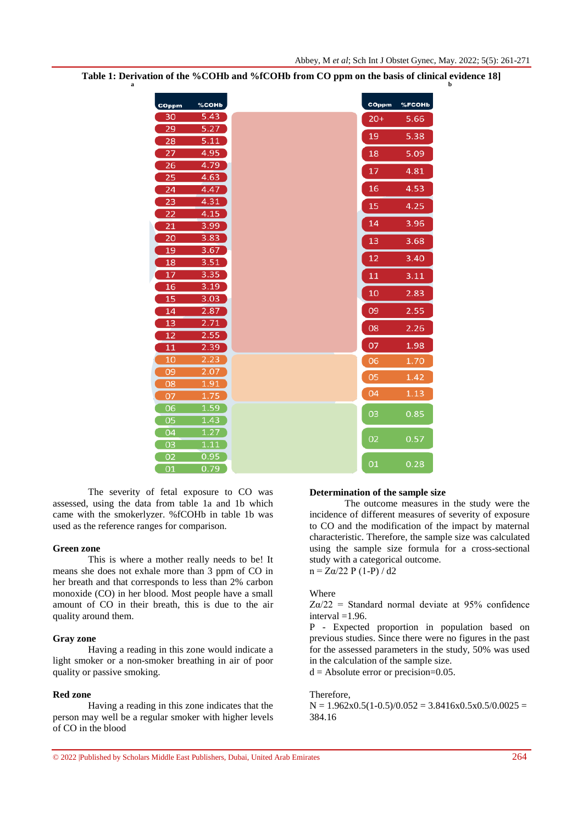| COppm                 | %COHb        | COppm | %FCOHb |
|-----------------------|--------------|-------|--------|
| 30                    | 5.43         | $20+$ | 5.66   |
| 29                    | 5.27         | 19    | 5.38   |
| $\overline{28}$       | 5.11         |       |        |
| $\overline{27}$       | 4.95         | 18    | 5.09   |
| $\overline{26}$<br>25 | 4.79<br>4.63 | 17    | 4.81   |
| $\overline{24}$       | 4.47         | 16    | 4.53   |
| 23                    | 4.31         |       |        |
| 22                    | 4.15         | 15    | 4.25   |
| 21                    | 3.99         | 14    | 3.96   |
| 20                    | 3.83         | 13    | 3.68   |
| 19                    | 3.67         |       |        |
| 18                    | 3.51         | 12    | 3.40   |
| $\overline{17}$       | 3.35         | 11    | 3.11   |
| 16                    | 3.19         | 10    | 2.83   |
| $\overline{15}$<br>14 | 3.03<br>2.87 | 09    |        |
| 13                    | 2.71         |       | 2.55   |
| $\overline{12}$       | 2.55         | 08    | 2.26   |
| $\overline{11}$       | 2.39         | 07    | 1.98   |
| 10                    | 2.23         | 06    | 1.70   |
| 09                    | 2.07         | 05    | 1.42   |
| 08                    | 1.91         |       |        |
| 07                    | 1.75         | 04    | 1.13   |
| 06                    | 1.59         | 03    | 0.85   |
| 05                    | 1.43         |       |        |
| $\overline{04}$       | 1.27         | 02    | 0.57   |
| 03<br>02              | 1.11<br>0.95 |       |        |
| 01                    | 0.79         | 01    | 0.28   |

**Table 1: Derivation of the %COHb and %fCOHb from CO ppm on the basis of clinical evidence 18] a b**

The severity of fetal exposure to CO was assessed, using the data from table 1a and 1b which came with the smokerlyzer. %fCOHb in table 1b was used as the reference ranges for comparison.

#### **Green zone**

This is where a mother really needs to be! It means she does not exhale more than 3 ppm of CO in her breath and that corresponds to less than 2% carbon monoxide (CO) in her blood. Most people have a small amount of CO in their breath, this is due to the air quality around them.

#### **Gray zone**

Having a reading in this zone would indicate a light smoker or a non-smoker breathing in air of poor quality or passive smoking.

#### **Red zone**

Having a reading in this zone indicates that the person may well be a regular smoker with higher levels of CO in the blood

## **Determination of the sample size**

The outcome measures in the study were the incidence of different measures of severity of exposure to CO and the modification of the impact by maternal characteristic. Therefore, the sample size was calculated using the sample size formula for a cross-sectional study with a categorical outcome.  $n = Z\alpha/22$  P (1-P) / d2

### Where

 $Z\alpha/22$  = Standard normal deviate at 95% confidence interval  $=1.96$ .

P - Expected proportion in population based on previous studies. Since there were no figures in the past for the assessed parameters in the study, 50% was used in the calculation of the sample size.

 $d =$  Absolute error or precision=0.05.

#### Therefore,

 $N = 1.962x0.5(1-0.5)/0.052 = 3.8416x0.5x0.5/0.0025 =$ 384.16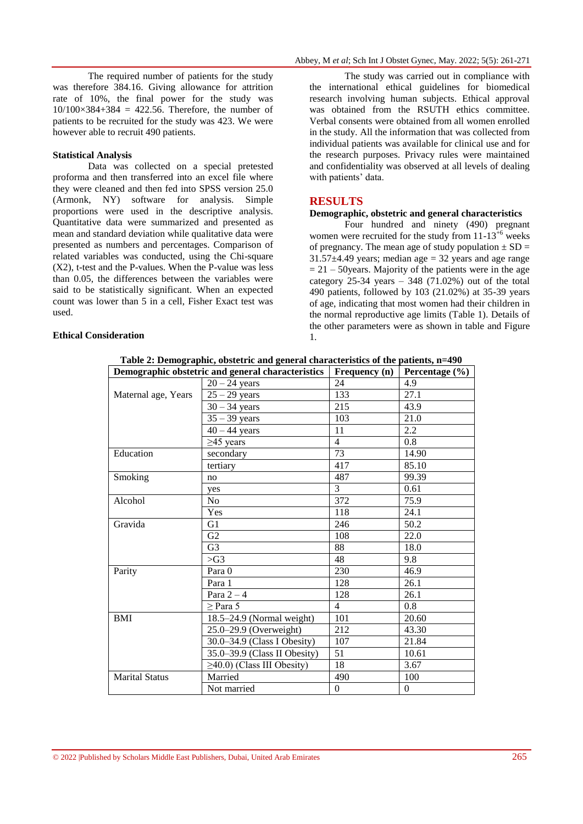The required number of patients for the study was therefore 384.16. Giving allowance for attrition rate of 10%, the final power for the study was  $10/100\times384+384 = 422.56$ . Therefore, the number of patients to be recruited for the study was 423. We were however able to recruit 490 patients.

#### **Statistical Analysis**

Data was collected on a special pretested proforma and then transferred into an excel file where they were cleaned and then fed into SPSS version 25.0 (Armonk, NY) software for analysis. Simple proportions were used in the descriptive analysis. Quantitative data were summarized and presented as mean and standard deviation while qualitative data were presented as numbers and percentages. Comparison of related variables was conducted, using the Chi-square (X2), t-test and the P-values. When the P-value was less than 0.05, the differences between the variables were said to be statistically significant. When an expected count was lower than 5 in a cell, Fisher Exact test was used.

### **Ethical Consideration**

The study was carried out in compliance with the international ethical guidelines for biomedical research involving human subjects. Ethical approval was obtained from the RSUTH ethics committee. Verbal consents were obtained from all women enrolled in the study. All the information that was collected from individual patients was available for clinical use and for the research purposes. Privacy rules were maintained and confidentiality was observed at all levels of dealing with patients' data.

### **RESULTS**

#### **Demographic, obstetric and general characteristics**

Four hundred and ninety (490) pregnant women were recruited for the study from  $11-13^{+6}$  weeks of pregnancy. The mean age of study population  $\pm$  SD =  $31.57\pm4.49$  years; median age = 32 years and age range  $= 21 - 50$ years. Majority of the patients were in the age category  $25-34$  years  $-348$  (71.02%) out of the total 490 patients, followed by 103 (21.02%) at 35-39 years of age, indicating that most women had their children in the normal reproductive age limits (Table 1). Details of the other parameters were as shown in table and Figure 1.

|                       | Demographic obstetric and general characteristics | <b>Frequency</b> (n) | Percentage $(\% )$ |
|-----------------------|---------------------------------------------------|----------------------|--------------------|
|                       | $20 - 24$ years                                   | 24                   | 4.9                |
| Maternal age, Years   | $25 - 29$ years                                   | 133                  | 27.1               |
|                       | $30 - 34$ years                                   | 215                  | 43.9               |
|                       | $35 - 39$ years                                   | 103                  | 21.0               |
|                       | $40 - 44$ years                                   | 11                   | 2.2                |
|                       | $\geq$ 45 years                                   | $\overline{4}$       | 0.8                |
| Education             | secondary                                         | 73                   | 14.90              |
|                       | tertiary                                          | 417                  | 85.10              |
| Smoking               | no                                                | 487                  | 99.39              |
|                       | yes                                               | 3                    | 0.61               |
| Alcohol               | No                                                | 372                  | 75.9               |
|                       | Yes                                               | 118                  | 24.1               |
| Gravida               | G1                                                | 246                  | 50.2               |
|                       | G2                                                | 108                  | 22.0               |
|                       | G <sub>3</sub>                                    | 88                   | 18.0               |
|                       | $>\!\!G3$                                         | 48                   | 9.8                |
| Parity                | Para 0                                            | 230                  | 46.9               |
|                       | Para 1                                            | 128                  | 26.1               |
|                       | Para $2-4$                                        | 128                  | 26.1               |
|                       | $>$ Para 5                                        | $\overline{4}$       | 0.8                |
| <b>BMI</b>            | $18.5 - 24.9$ (Normal weight)                     | 101                  | 20.60              |
|                       | 25.0-29.9 (Overweight)                            | 212                  | 43.30              |
|                       | 30.0–34.9 (Class I Obesity)                       | 107                  | 21.84              |
|                       | 35.0–39.9 (Class II Obesity)                      | 51                   | 10.61              |
|                       | $\geq$ 40.0) (Class III Obesity)                  | 18                   | 3.67               |
| <b>Marital Status</b> | Married                                           | 490                  | 100                |
|                       | Not married                                       | $\boldsymbol{0}$     | $\theta$           |

**Table 2: Demographic, obstetric and general characteristics of the patients, n=490**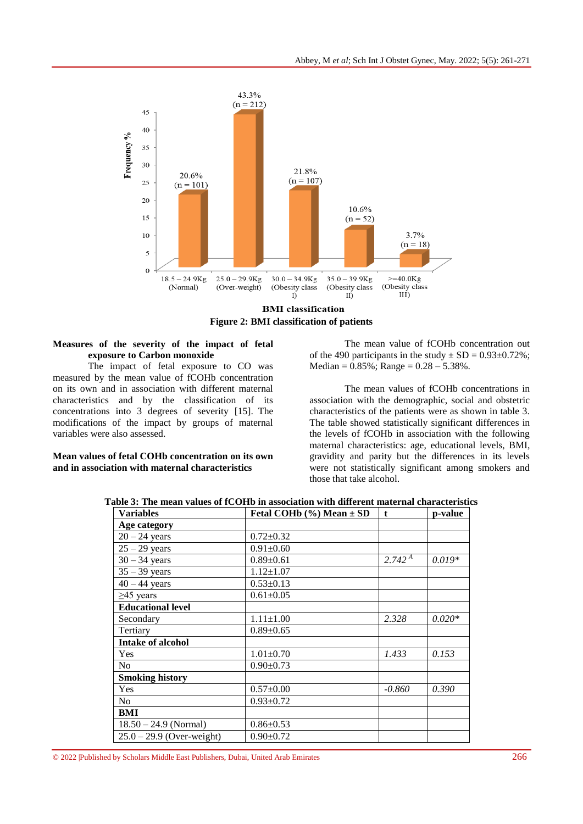

**Figure 2: BMI classification of patients**

# **Measures of the severity of the impact of fetal exposure to Carbon monoxide**

The impact of fetal exposure to CO was measured by the mean value of fCOHb concentration on its own and in association with different maternal characteristics and by the classification of its concentrations into 3 degrees of severity [15]. The modifications of the impact by groups of maternal variables were also assessed.

## **Mean values of fetal COHb concentration on its own and in association with maternal characteristics**

The mean value of fCOHb concentration out of the 490 participants in the study  $\pm$  SD = 0.93 $\pm$ 0.72%; Median =  $0.85\%$ ; Range =  $0.28 - 5.38\%$ .

The mean values of fCOHb concentrations in association with the demographic, social and obstetric characteristics of the patients were as shown in table 3. The table showed statistically significant differences in the levels of fCOHb in association with the following maternal characteristics: age, educational levels, BMI, gravidity and parity but the differences in its levels were not statistically significant among smokers and those that take alcohol.

|                             | $1 \text{ cm} \text{ CO}$ and $(70) \text{ median} \geq 0$ |             | римс     |
|-----------------------------|------------------------------------------------------------|-------------|----------|
| Age category                |                                                            |             |          |
| $20 - 24$ years             | $0.72 \pm 0.32$                                            |             |          |
| $25 - 29$ years             | $0.91 \pm 0.60$                                            |             |          |
| $30 - 34$ years             | $0.89 \pm 0.61$                                            | $2.742^{A}$ | $0.019*$ |
| $35 - 39$ years             | $1.12 \pm 1.07$                                            |             |          |
| $40 - 44$ years             | $0.53 \pm 0.13$                                            |             |          |
| $\geq$ 45 years             | $0.61 \pm 0.05$                                            |             |          |
| <b>Educational level</b>    |                                                            |             |          |
| Secondary                   | $1.11 \pm 1.00$                                            | 2.328       | $0.020*$ |
| Tertiary                    | $0.89 \pm 0.65$                                            |             |          |
| <b>Intake of alcohol</b>    |                                                            |             |          |
| Yes                         | $1.01 \pm 0.70$                                            | 1.433       | 0.153    |
| No                          | $0.90 \pm 0.73$                                            |             |          |
| <b>Smoking history</b>      |                                                            |             |          |
| Yes                         | $0.57 \pm 0.00$                                            | $-0.860$    | 0.390    |
| N <sub>o</sub>              | $0.93 \pm 0.72$                                            |             |          |
| BMI                         |                                                            |             |          |
| $18.50 - 24.9$ (Normal)     | $0.86 \pm 0.53$                                            |             |          |
| $25.0 - 29.9$ (Over-weight) | $0.90 \pm 0.72$                                            |             |          |

**Table 3: The mean values of fCOHb in association with different maternal characteristics**<br> **Table 1** Fetal COHb (%) Mean + SD  $\begin{bmatrix} 1 & 0 \\ 1 & 1 \end{bmatrix}$  $\sqrt{\frac{F_{\text{A}}}{F_{\text{B}}}}$   $\frac{F_{\text{B}}}{F_{\text{C}}}}$  **F**  $\frac{F_{\text{B}}}{F_{\text{C}}}}$  **F**  $\frac{F_{\text{B}}}{F_{\text{C}}}}$  **p**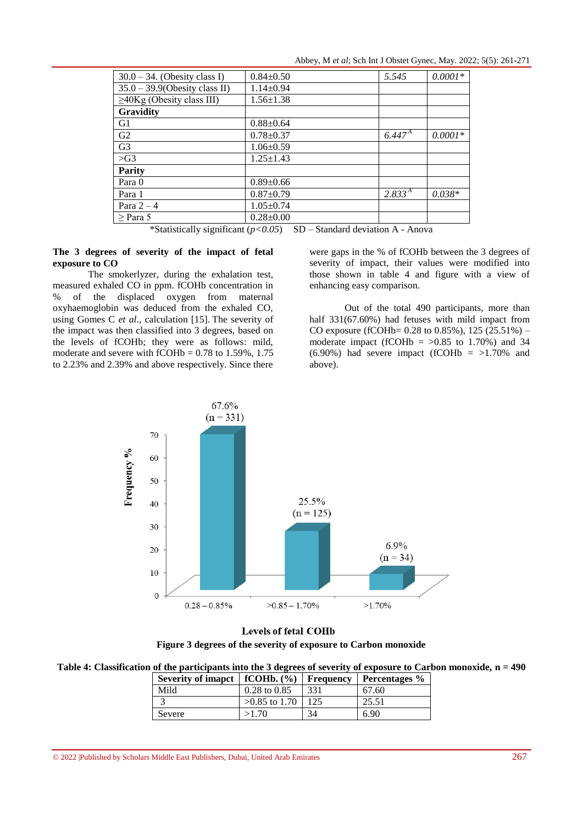Abbey, M *et al*; Sch Int J Obstet Gynec, May. 2022; 5(5): 261-271

| $30.0 - 34$ . (Obesity class I)  | $0.84 \pm 0.50$ | 5.545              | $0.0001*$ |
|----------------------------------|-----------------|--------------------|-----------|
| $35.0 - 39.9$ (Obesity class II) | $1.14 + 0.94$   |                    |           |
| $\geq$ 40Kg (Obesity class III)  | $1.56 \pm 1.38$ |                    |           |
| <b>Gravidity</b>                 |                 |                    |           |
| G1                               | $0.88 \pm 0.64$ |                    |           |
| G <sub>2</sub>                   | $0.78 \pm 0.37$ | $6.447^{\rm A}$    | $0.0001*$ |
| G <sub>3</sub>                   | $1.06 \pm 0.59$ |                    |           |
| $>\!\!G3$                        | $1.25 + 1.43$   |                    |           |
| <b>Parity</b>                    |                 |                    |           |
| Para 0                           | $0.89 \pm 0.66$ |                    |           |
| Para 1                           | $0.87+0.79$     | 2.833 <sup>A</sup> | $0.038*$  |
| Para $2-4$                       | $1.05+0.74$     |                    |           |
| $>$ Para 5                       | $0.28 \pm 0.00$ |                    |           |

\*Statistically significant  $(p<0.05)$  SD – Standard deviation A - Anova

### **The 3 degrees of severity of the impact of fetal exposure to CO**

The smokerlyzer, during the exhalation test, measured exhaled CO in ppm. fCOHb concentration in % of the displaced oxygen from maternal oxyhaemoglobin was deduced from the exhaled CO, using Gomes C *et al*., calculation [15]. The severity of the impact was then classified into 3 degrees, based on the levels of fCOHb; they were as follows: mild, moderate and severe with  $fCOHb = 0.78$  to 1.59%, 1.75 to 2.23% and 2.39% and above respectively. Since there

were gaps in the % of fCOHb between the 3 degrees of severity of impact, their values were modified into those shown in table 4 and figure with a view of enhancing easy comparison.

Out of the total 490 participants, more than half 331(67.60%) had fetuses with mild impact from CO exposure (fCOHb=  $0.28$  to  $0.85\%$ ), 125 (25.51%) – moderate impact (fCOHb  $=$  >0.85 to 1.70%) and 34  $(6.90\%)$  had severe impact  $(fCOHb = >1.70\%$  and above).



**Levels of fetal COHb Figure 3 degrees of the severity of exposure to Carbon monoxide**

**Table 4: Classification of the participants into the 3 degrees of severity of exposure to Carbon monoxide, n = 490**

| Severity of imapct $\vert$ fCOHb. $\left(\frac{9}{0}\right)$ Frequency $\vert$ Percentages % |                         |     |       |
|----------------------------------------------------------------------------------------------|-------------------------|-----|-------|
| Mild                                                                                         | $0.28 \text{ to } 0.85$ | 331 | 67.60 |
|                                                                                              | $>0.85$ to 1.70         | 125 | 25.51 |
| Severe                                                                                       | >1.70                   | 34  | 6.90  |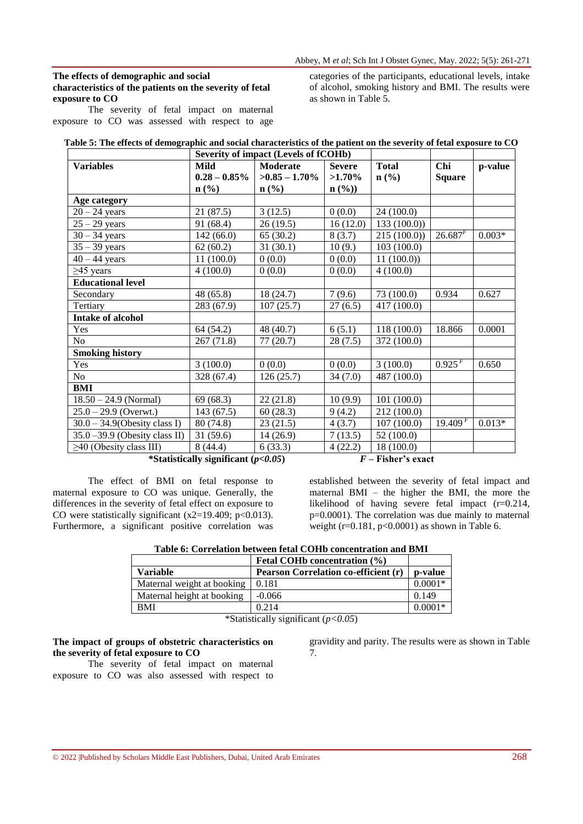## **The effects of demographic and social characteristics of the patients on the severity of fetal exposure to CO**

The severity of fetal impact on maternal exposure to CO was assessed with respect to age categories of the participants, educational levels, intake of alcohol, smoking history and BMI. The results were as shown in Table 5.

|                                  | Severity of impact (Levels of fCOHb)   |                  |               |                                                             |                       |          |
|----------------------------------|----------------------------------------|------------------|---------------|-------------------------------------------------------------|-----------------------|----------|
| <b>Variables</b>                 | Mild                                   | Moderate         | <b>Severe</b> | <b>Total</b>                                                | Chi                   | p-value  |
|                                  | $0.28 - 0.85\%$                        | $>0.85 - 1.70\%$ | $>1.70\%$     | $n\left(\frac{9}{6}\right)$                                 | <b>Square</b>         |          |
|                                  | $\mathbf{n}(\%)$                       | $\mathbf{n}(\%)$ | $n$ (%))      |                                                             |                       |          |
| Age category                     |                                        |                  |               |                                                             |                       |          |
| $20 - 24$ years                  | 21 (87.5)                              | 3(12.5)          | 0(0.0)        | 24 (100.0)                                                  |                       |          |
| $25 - 29$ years                  | 91 (68.4)                              | 26(19.5)         | 16(12.0)      | 133(100.0)                                                  |                       |          |
| $30 - 34$ years                  | 142(66.0)                              | 65(30.2)         | 8(3.7)        | 215(100.0)                                                  | $26.687^{F}$          | $0.003*$ |
| $35 - 39$ years                  | 62(60.2)                               | 31(30.1)         | 10(9.)        | 103(100.0)                                                  |                       |          |
| $40 - 44$ years                  | 11(100.0)                              | 0(0.0)           | 0(0.0)        | 11(100.0)                                                   |                       |          |
| $\geq$ 45 years                  | 4(100.0)                               | 0(0.0)           | 0(0.0)        | 4(100.0)                                                    |                       |          |
| <b>Educational level</b>         |                                        |                  |               |                                                             |                       |          |
| Secondary                        | 48 (65.8)                              | 18(24.7)         | 7(9.6)        | 73 (100.0)                                                  | 0.934                 | 0.627    |
| Tertiary                         | 283 (67.9)                             | 107(25.7)        | 27(6.5)       | 417 (100.0)                                                 |                       |          |
| <b>Intake of alcohol</b>         |                                        |                  |               |                                                             |                       |          |
| Yes                              | 64 (54.2)                              | 48 (40.7)        | 6(5.1)        | 118(100.0)                                                  | 18.866                | 0.0001   |
| N <sub>o</sub>                   | 267(71.8)                              | 77(20.7)         | 28(7.5)       | 372 (100.0)                                                 |                       |          |
| <b>Smoking history</b>           |                                        |                  |               |                                                             |                       |          |
| Yes                              | 3(100.0)                               | 0(0.0)           | 0(0.0)        | 3(100.0)                                                    | $0.925^{F}$           | 0.650    |
| No                               | 328 (67.4)                             | 126(25.7)        | 34(7.0)       | 487 (100.0)                                                 |                       |          |
| <b>BMI</b>                       |                                        |                  |               |                                                             |                       |          |
| $18.50 - 24.9$ (Normal)          | 69(68.3)                               | 22(21.8)         | 10(9.9)       | 101(100.0)                                                  |                       |          |
| $25.0 - 29.9$ (Overwt.)          | 143(67.5)                              | 60(28.3)         | 9(4.2)        | 212(100.0)                                                  |                       |          |
| $30.0 - 34.9$ (Obesity class I)  | 80 (74.8)                              | 23(21.5)         | 4(3.7)        | 107(100.0)                                                  | $19.409$ <sup>F</sup> | $0.013*$ |
| $35.0 - 39.9$ (Obesity class II) | 31(59.6)                               | 14(26.9)         | 7(13.5)       | 52(100.0)                                                   |                       |          |
| $\geq$ 40 (Obesity class III)    | 8(44.4)                                | 6(33.3)          | 4(22.2)       | 18(100.0)                                                   |                       |          |
|                                  | $*$ Chatatan Haritan Haritan (n. 1005) |                  |               | $\mathbf{E} = \mathbf{E}$ and $\mathbf{E}$ and $\mathbf{E}$ |                       |          |

|  | Table 5: The effects of demographic and social characteristics of the patient on the severity of fetal exposure to CO |  |  |  |
|--|-----------------------------------------------------------------------------------------------------------------------|--|--|--|
|  |                                                                                                                       |  |  |  |

#### **\*Statistically significant (***p<0.05***)** *F* **– Fisher's exact**

The effect of BMI on fetal response to maternal exposure to CO was unique. Generally, the differences in the severity of fetal effect on exposure to CO were statistically significant  $(x2=19.409; p<0.013)$ . Furthermore, a significant positive correlation was

established between the severity of fetal impact and maternal BMI – the higher the BMI, the more the likelihood of having severe fetal impact (r=0.214, p=0.0001). The correlation was due mainly to maternal weight (r= $0.181$ , p< $0.0001$ ) as shown in Table 6.

|                            | Fetal COHb concentration $(\% )$     |           |
|----------------------------|--------------------------------------|-----------|
| <b>Variable</b>            | Pearson Correlation co-efficient (r) | p-value   |
| Maternal weight at booking | 0.181                                | $0.0001*$ |
| Maternal height at booking | $-0.066$                             | 0.149     |
| <b>BMI</b>                 | 0.214                                | $0.0001*$ |

\*Statistically significant (*p<0.05*)

## **The impact of groups of obstetric characteristics on the severity of fetal exposure to CO**

The severity of fetal impact on maternal exposure to CO was also assessed with respect to gravidity and parity. The results were as shown in Table 7.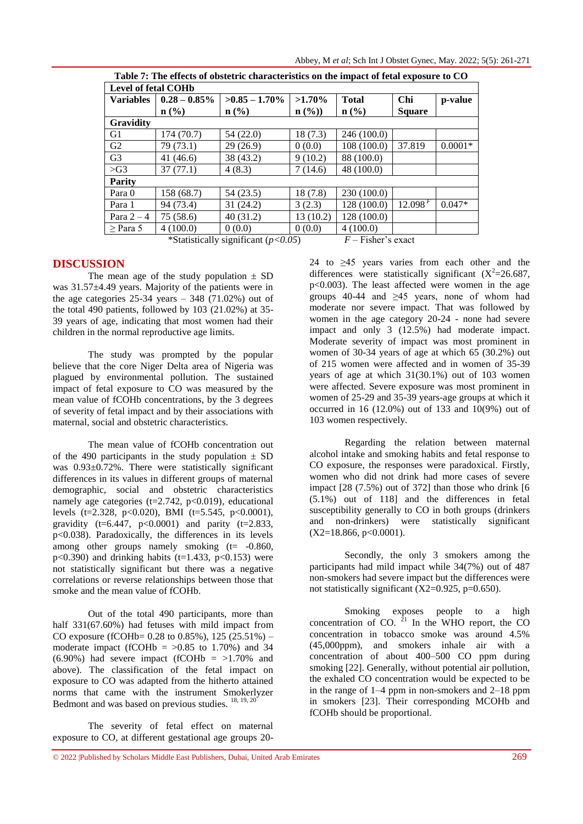| Table 7: The effects of obstetric characteristics on the impact of fetal exposure to CO |                            |                             |           |                  |               |           |  |  |  |
|-----------------------------------------------------------------------------------------|----------------------------|-----------------------------|-----------|------------------|---------------|-----------|--|--|--|
|                                                                                         | <b>Level of fetal COHb</b> |                             |           |                  |               |           |  |  |  |
| <b>Variables</b>                                                                        | $0.28 - 0.85\%$            | $>0.85 - 1.70\%$            | $>1.70\%$ | <b>Total</b>     | <b>Chi</b>    | p-value   |  |  |  |
|                                                                                         | n (% )                     | $n\left(\frac{0}{0}\right)$ | n(%)      | $\mathbf{n}(\%)$ | <b>Square</b> |           |  |  |  |
| <b>Gravidity</b>                                                                        |                            |                             |           |                  |               |           |  |  |  |
| G <sub>1</sub>                                                                          | 174 (70.7)                 | 54 (22.0)                   | 18(7.3)   | 246 (100.0)      |               |           |  |  |  |
| G <sub>2</sub>                                                                          | 79 (73.1)                  | 29(26.9)                    | 0(0.0)    | 108 (100.0)      | 37.819        | $0.0001*$ |  |  |  |
| G <sub>3</sub>                                                                          | 41 (46.6)                  | 38 (43.2)                   | 9(10.2)   | 88 (100.0)       |               |           |  |  |  |
| $>\!\!G3$                                                                               | 37(77.1)                   | 4(8.3)                      | 7(14.6)   | 48 (100.0)       |               |           |  |  |  |
| Parity                                                                                  |                            |                             |           |                  |               |           |  |  |  |
| Para 0                                                                                  | 158 (68.7)                 | 54 (23.5)                   | 18(7.8)   | 230 (100.0)      |               |           |  |  |  |
| Para 1                                                                                  | 94 (73.4)                  | 31(24.2)                    | 3(2.3)    | 128 (100.0)      | 12.098 F      | $0.047*$  |  |  |  |
| Para $2-4$                                                                              | 75 (58.6)                  | 40 (31.2)                   | 13(10.2)  | 128 (100.0)      |               |           |  |  |  |
| $\geq$ Para 5                                                                           | 4(100.0)                   | 0(0.0)                      | 0(0.0)    | 4(100.0)         |               |           |  |  |  |
| $F$ – Fisher's exact<br>*Statistically significant $(p<0.05)$                           |                            |                             |           |                  |               |           |  |  |  |

# **DISCUSSION**

The mean age of the study population  $\pm$  SD was 31.57±4.49 years. Majority of the patients were in the age categories  $25-34$  years –  $348$  (71.02%) out of the total 490 patients, followed by 103 (21.02%) at 35- 39 years of age, indicating that most women had their children in the normal reproductive age limits.

The study was prompted by the popular believe that the core Niger Delta area of Nigeria was plagued by environmental pollution. The sustained impact of fetal exposure to CO was measured by the mean value of fCOHb concentrations, by the 3 degrees of severity of fetal impact and by their associations with maternal, social and obstetric characteristics.

The mean value of fCOHb concentration out of the 490 participants in the study population  $\pm$  SD was 0.93±0.72%. There were statistically significant differences in its values in different groups of maternal demographic, social and obstetric characteristics namely age categories ( $t=2.742$ ,  $p<0.019$ ), educational levels (t=2.328, p<0.020), BMI (t=5.545, p<0.0001), gravidity (t=6.447, p<0.0001) and parity (t=2.833, p<0.038). Paradoxically, the differences in its levels among other groups namely smoking  $(t= -0.860,$ p<0.390) and drinking habits ( $t=1.433$ , p<0.153) were not statistically significant but there was a negative correlations or reverse relationships between those that smoke and the mean value of fCOHb.

Out of the total 490 participants, more than half 331(67.60%) had fetuses with mild impact from CO exposure (fCOHb=  $0.28$  to  $0.85\%$ ), 125 (25.51%) – moderate impact (fCOHb  $=$  >0.85 to 1.70%) and 34  $(6.90\%)$  had severe impact  $(fCOHb = >1.70\%$  and above). The classification of the fetal impact on exposure to CO was adapted from the hitherto attained norms that came with the instrument Smokerlyzer Bedmont and was based on previous studies. <sup>18, 19, 20</sup>

The severity of fetal effect on maternal exposure to CO, at different gestational age groups 2024 to ≥45 years varies from each other and the differences were statistically significant  $(X^2=26.687,$ p<0.003). The least affected were women in the age groups 40-44 and ≥45 years, none of whom had moderate nor severe impact. That was followed by women in the age category 20-24 - none had severe impact and only 3 (12.5%) had moderate impact. Moderate severity of impact was most prominent in women of 30-34 years of age at which 65 (30.2%) out of 215 women were affected and in women of 35-39 years of age at which 31(30.1%) out of 103 women were affected. Severe exposure was most prominent in women of 25-29 and 35-39 years-age groups at which it occurred in 16 (12.0%) out of 133 and 10(9%) out of 103 women respectively.

Regarding the relation between maternal alcohol intake and smoking habits and fetal response to CO exposure, the responses were paradoxical. Firstly, women who did not drink had more cases of severe impact  $[28 (7.5\%)$  out of 372] than those who drink  $[6]$ (5.1%) out of 118] and the differences in fetal susceptibility generally to CO in both groups (drinkers and non-drinkers) were statistically significant  $(X2=18.866, p<0.0001)$ .

Secondly, the only 3 smokers among the participants had mild impact while 34(7%) out of 487 non-smokers had severe impact but the differences were not statistically significant  $(X2=0.925, p=0.650)$ .

Smoking exposes people to a high concentration of CO.  $^{21}$  In the WHO report, the CO concentration in tobacco smoke was around 4.5% (45,000ppm), and smokers inhale air with a concentration of about 400–500 CO ppm during smoking [22]. Generally, without potential air pollution, the exhaled CO concentration would be expected to be in the range of 1–4 ppm in non-smokers and 2–18 ppm in smokers [23]. Their corresponding MCOHb and fCOHb should be proportional.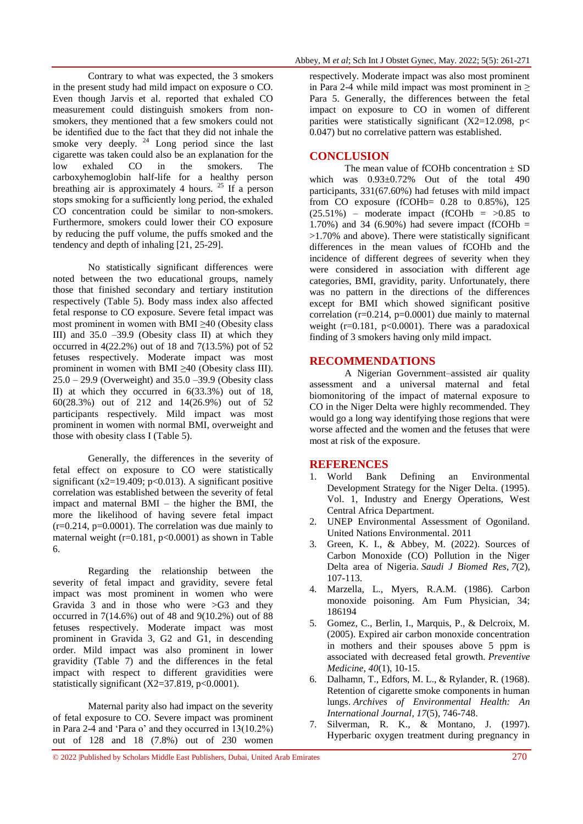Contrary to what was expected, the 3 smokers in the present study had mild impact on exposure o CO. Even though Jarvis et al. reported that exhaled CO measurement could distinguish smokers from nonsmokers, they mentioned that a few smokers could not be identified due to the fact that they did not inhale the smoke very deeply.  $24$  Long period since the last cigarette was taken could also be an explanation for the low exhaled CO in the smokers. The carboxyhemoglobin half-life for a healthy person breathing air is approximately 4 hours. <sup>25</sup> If a person stops smoking for a sufficiently long period, the exhaled CO concentration could be similar to non-smokers. Furthermore, smokers could lower their CO exposure by reducing the puff volume, the puffs smoked and the tendency and depth of inhaling [21, 25-29].

No statistically significant differences were noted between the two educational groups, namely those that finished secondary and tertiary institution respectively (Table 5). Body mass index also affected fetal response to CO exposure. Severe fetal impact was most prominent in women with BMI  $\geq$ 40 (Obesity class III) and  $35.0 -39.9$  (Obesity class II) at which they occurred in 4(22.2%) out of 18 and 7(13.5%) pot of 52 fetuses respectively. Moderate impact was most prominent in women with BMI  $\geq$ 40 (Obesity class III). 25.0 – 29.9 (Overweight) and 35.0 –39.9 (Obesity class II) at which they occurred in 6(33.3%) out of 18, 60(28.3%) out of 212 and 14(26.9%) out of 52 participants respectively. Mild impact was most prominent in women with normal BMI, overweight and those with obesity class I (Table 5).

Generally, the differences in the severity of fetal effect on exposure to CO were statistically significant (x2=19.409; p<0.013). A significant positive correlation was established between the severity of fetal impact and maternal BMI – the higher the BMI, the more the likelihood of having severe fetal impact  $(r=0.214, p=0.0001)$ . The correlation was due mainly to maternal weight  $(r=0.181, p<0.0001)$  as shown in Table 6.

Regarding the relationship between the severity of fetal impact and gravidity, severe fetal impact was most prominent in women who were Gravida 3 and in those who were  $>$ G3 and they occurred in 7(14.6%) out of 48 and 9(10.2%) out of 88 fetuses respectively. Moderate impact was most prominent in Gravida 3, G2 and G1, in descending order. Mild impact was also prominent in lower gravidity (Table 7) and the differences in the fetal impact with respect to different gravidities were statistically significant  $(X2=37.819, p<0.0001)$ .

Maternal parity also had impact on the severity of fetal exposure to CO. Severe impact was prominent in Para 2-4 and 'Para o' and they occurred in 13(10.2%) out of 128 and 18 (7.8%) out of 230 women

respectively. Moderate impact was also most prominent in Para 2-4 while mild impact was most prominent in  $\geq$ Para 5. Generally, the differences between the fetal impact on exposure to CO in women of different parities were statistically significant  $(X2=12.098, p<$ 0.047) but no correlative pattern was established.

# **CONCLUSION**

The mean value of fCOHb concentration  $\pm$  SD which was  $0.93\pm0.72\%$  Out of the total 490 participants, 331(67.60%) had fetuses with mild impact from CO exposure (fCOHb=  $0.28$  to  $0.85\%$ ), 125  $(25.51\%)$  – moderate impact (fCOHb = >0.85 to 1.70%) and 34 (6.90%) had severe impact (fCOHb = >1.70% and above). There were statistically significant differences in the mean values of fCOHb and the incidence of different degrees of severity when they were considered in association with different age categories, BMI, gravidity, parity. Unfortunately, there was no pattern in the directions of the differences except for BMI which showed significant positive correlation  $(r=0.214, p=0.0001)$  due mainly to maternal weight (r=0.181, p<0.0001). There was a paradoxical finding of 3 smokers having only mild impact.

### **RECOMMENDATIONS**

A Nigerian Government–assisted air quality assessment and a universal maternal and fetal biomonitoring of the impact of maternal exposure to CO in the Niger Delta were highly recommended. They would go a long way identifying those regions that were worse affected and the women and the fetuses that were most at risk of the exposure.

#### **REFERENCES**

- 1. World Bank Defining an Environmental Development Strategy for the Niger Delta. (1995). Vol. 1, Industry and Energy Operations, West Central Africa Department.
- 2. UNEP Environmental Assessment of Ogoniland. United Nations Environmental. 2011
- 3. Green, K. I., & Abbey, M. (2022). Sources of Carbon Monoxide (CO) Pollution in the Niger Delta area of Nigeria. *Saudi J Biomed Res*, *7*(2), 107-113.
- 4. Marzella, L., Myers, R.A.M. (1986). Carbon monoxide poisoning. Am Fum Physician, 34; 186194
- 5. Gomez, C., Berlin, I., Marquis, P., & Delcroix, M. (2005). Expired air carbon monoxide concentration in mothers and their spouses above 5 ppm is associated with decreased fetal growth. *Preventive Medicine*, *40*(1), 10-15.
- 6. Dalhamn, T., Edfors, M. L., & Rylander, R. (1968). Retention of cigarette smoke components in human lungs. *Archives of Environmental Health: An International Journal*, *17*(5), 746-748.
- 7. Silverman, R. K., & Montano, J. (1997). Hyperbaric oxygen treatment during pregnancy in